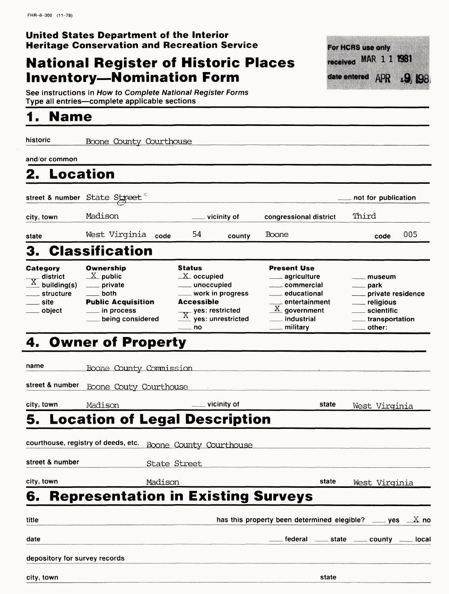### **United States Department of the Interior Heritage Conservation and Recreation Service**

# **National Register of Historic Places Inventory-Nomination Form**



See instructions in How to Complete National Register Forms Type all entries—complete applicable sections

## **1. Name**

historic Boone County Courthouse and/or common **2. Location** street & number State Street not for publication city, town Madison vicinity of congressional district Third state West Virginia **code** <sup>54</sup> county Boone code 005 3. Classification **Category Ownership**<br>
\_\_\_\_ district  $\frac{X}{X}$  public Status Present Use  $X$  occupied  $\overline{\text{X}}$  district  $\overline{\text{X}}$  public<br> $\overline{\text{X}}$  building(s) \_\_\_\_ private agriculture museum unoccupied commercial park  $\_$ structure  $\_$  both work in progress educational private residence <u>site</u> Public Acquisition Accessible entertainment religious  $\overline{X}$  yes: restricted  $X$  government object in process scientific being considered yes: unrestricted \_\_\_ industrial transportation no military other; 4. Owner of Property name Boone County Commission **street & number** Boone Gouty Courthouse city, town Madison vicinity of **state** west Virginia **5. Location of Legal Description**

**courthouse, registry of deeds, etc.** Boone County Courthouse street & number State Street city, town Madison **state** West Virginia **6. Representation in Existing Surveys**

| title                         | has this property been determined elegible? $\_\_\_\$ yes $\_\_\_X$ no |       |
|-------------------------------|------------------------------------------------------------------------|-------|
| date                          | $\pm$ federal $\pm$ state $\pm$ county $\pm$                           | local |
| depository for survey records |                                                                        |       |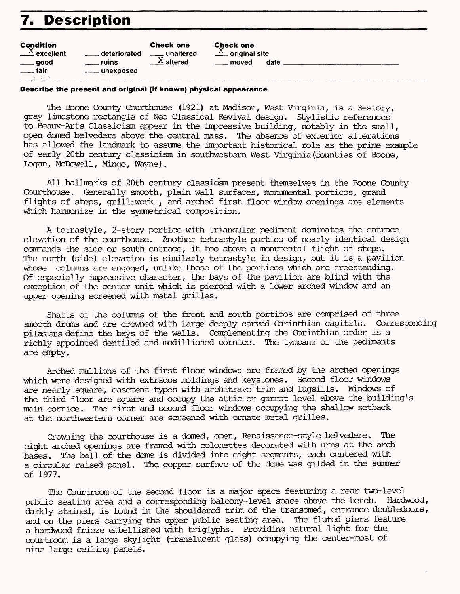# **7. Description**

| <b>Condition</b><br>$\frac{X}{X}$ excellent | <u>__</u> __ deteriorated | <b>Check one</b>      | <b>Check one</b>            | date |
|---------------------------------------------|---------------------------|-----------------------|-----------------------------|------|
| $\rule{1em}{0.15mm}$ good                   | ruins                     | unaltered             | $\frac{X}{X}$ original site |      |
| fair                                        | ___ unexposed             | $\frac{X}{A}$ altered | moved                       |      |
| ul.                                         |                           |                       |                             |      |

#### **Describe the present and original (if known) physical appearance**

The Boone County Courthouse (1921) at Madison, West Virginia, is a 3-story, gray limestone rectangle of Neo Classical Revival design. Stylistic references to Beaux-Arts Classicism appear in the impressive building, notably in the small, open domed belvedere above the central mass. The absence of exterior alterations has allowed the landmark to assume the important historical role as the prime example of early 20th century classicism in southwestern West Virginia (counties of Boone, Logan, McDowell, Mingo, Wayne).

All hallmarks of 20th century classicsm present themselves in the Boone County Courthouse. Generally smooth, plain wall surfaces, monumental porticos, grand flights of steps, grill-work , and arched first floor window openings are elements which harmonize in the symmetrical composition.

A tetrastyle, 2-story portico with triangular pediment dominates the entrace elevation of the courthouse. Another tetrastyle portico of nearly identical design commands the side or south entrace, it too above a monumental flight of steps. The north (side) elevation is similarly tetrastyle in design, but it is a pavilion whose columns are engaged, unlike those of the porticos which are freestanding. Of especially impressive character, the bays of the pavilion are blind with the exception of the center unit which is pierced with a lower arched window and an upper opening screened with metal grilles.

Shafts of the columns of the front and south porticos are comprised of three smooth drums and are crowned with large deeply carved Corinthian capitals. Corresponding pilasters define the bays of the walls. Complementing the Corinthian order is a richly appointed dentiled and modillioned cornice. The tympana of the pediments are empty.

Arched mullions of the first floor windows are framed by the arched openings which were designed with extrados moldings and keystones. Second floor windows are nearly square, casement types with architrave trim and lugsills. Windows of the third floor are square and occupy the attic or garret level above the building's main cornice. The first and second floor windows occupying the shallow setback at the northwestern corner are screened with ornate metal grilles.

Crowning the courthouse is a domed, open, Renaissance-style belvedere. The eight arched openings are framed with colonettes decorated with urns at the arch bases. The bell of the dome is divided into eight segments, each centered with a circular raised panel. The copper surface of the dome was gilded in the summer of 1977.

The Courtroom of the second floor is a major space featuring a rear two-level public seating area and a corresponding balcony-level space above the bench. Hardwood, darkly stained, is found in the shouldered trim of the transomed, entrance doubledoors, and on the piers carrying the upper public seating area. The fluted piers feature a hardwood frieze embellished with triglyphs. Providing natural light for the courtroom is a large skylight (translucent glass) occupying the center-most of nine large ceiling panels.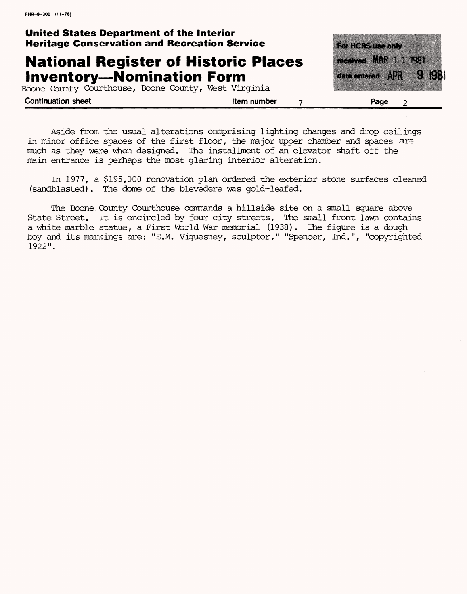## **United States Department of the Interior Heritage Conservation and Recreation Service**

## **National Register of Historic Places Inventory-Nomination Form**

Boone County Courthouse, Boone County, West Virginia



**Continuation sheet Continuation sheet Continuation sheet Continuation sheet** 2

Aside from the usual alterations comprising lighting changes and drop ceilings in minor office spaces of the first floor, the major upper chamber and spaces are much as they were when designed. The installment of an elevator shaft off the main entrance is perhaps the most glaring interior alteration.

In 1977, a \$195,000 renovation plan ordered the exterior stone surfaces cleaned (sandblasted). The dome of the blevedere was gold-leafed.

The Boone County Courthouse commands a hillside site on a small square above State Street. It is encircled by four city streets. The small front lawn contains a white marble statue, a First World War memorial (1938). The figure is a dough boy and its markings are: "E.M. Viquesney, sculptor," "Spencer, Ind.", "copyrighted 1922".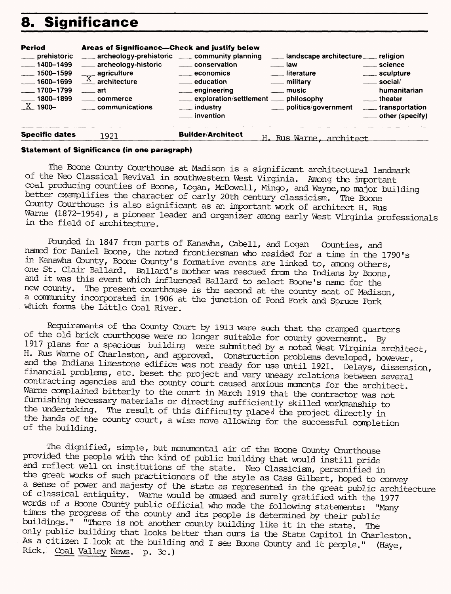# **8. Significance**

| Period<br>___ prehistoric<br>$-1400 - 1499$<br>$-1500 - 1599$<br>$-1600 - 1699$<br>$-1700 - 1799$<br>$-1800 - 1899$<br>$X$ 1900- | Areas of Significance—Check and justify below<br>archeology-prehistoric ______ community planning<br>___ archeology-historic<br>$\frac{X}{X}$ agriculture<br>$\overline{\phantom{a}}$ art<br>_____ commerce<br>communications | ____ conservation<br>$\equiv$ economics<br>education<br>____ engineering<br>exploration/settlement __ philosophy<br>___ industry<br>____ invention | Landscape architecture Langleign<br>$\frac{1}{2}$ law<br><u>__</u> __literature<br>___ military<br>$\equiv$ music<br>___ politics/government | ____ science<br>____ sculpture<br>$\frac{1}{2}$ social/<br>humanitarian<br>____ theater<br>_____ transportation<br>$\equiv$ other (specify) |
|----------------------------------------------------------------------------------------------------------------------------------|-------------------------------------------------------------------------------------------------------------------------------------------------------------------------------------------------------------------------------|----------------------------------------------------------------------------------------------------------------------------------------------------|----------------------------------------------------------------------------------------------------------------------------------------------|---------------------------------------------------------------------------------------------------------------------------------------------|
| <b>Specific dates</b>                                                                                                            | 1921                                                                                                                                                                                                                          | <b>Builder/Architect</b>                                                                                                                           | H. Rus Warne, architect                                                                                                                      |                                                                                                                                             |

#### **Statement of Significance (in one paragraph)**

The Boone County Courthouse at Madison is a significant architectural landmark of the Neo Classical Revival in southwestern West Virginia. Among the important coal producing counties of Boone, Logan, McDowell, Mingo, and Wayne, no major building better exemplifies the character of early 20th century classicism. The Boone County Courthouse is also significant as an important work of architect H. Rus Warne (1872-1954), a pioneer leader and organizer among early West Virginia professionals in the field of architecture.

Founded in 1847 from parts of Kanawha, Cabell, and Logan Counties, and named for Daniel Boone, the noted frontiersman who resided for a time in the 1790's in Kanawha County, Boone County's formative events are linked to, among others, one St. Clair Ballard. Ballard's mother was rescued from the Indians by Boone, and it was this event which influenced Ballard to select Boone's name for the new county. The present courthouse is the second at the county seat of Madison, a community incorporated in 1906 at the junction of Pond Fork and Spruce Fork ' which forms the Little Coal River.

Requirements of the County Court by 1913 were such that the cramped quarters of the old brick courthouse were no longer suitable for county governemnt. By 1917 plans for a spacious building were submitted by a noted West Virginia architect, H. Rus Warne of Charleston, and approved. Construction problems developed, however, and the Indiana limestone edifice was not ready for use until 1921. Delays, dissension, financial problems, etc. beset the project and very uneasy relations between several contracting agencies and the county court caused anxious moments for the architect. Warne complained bitterly to the court in March 1919 that the contractor was not furnishing necessary materials or directing sufficiently skilled workmanship to the undertaking. The result of this difficulty placed the project directly in the hands of the county court, a wise move allowing for the successful completion of the building.

The dignified, simple, but monumental aix of the Boone County Courthouse provided the people with the kind of public building that would instill pride and reflect well on institutions of the state. Neo Classicism, personified in the great works of such practitioners of the style as Cass Gilbert, hoped to convey a sense of power and majesty of the state as represented in the great public architecture of classical antiquity. Warne would be amused and surely gratified with the 1977 words of a Boone County public official who made the following statements: "Many times the progress of the county and its people is determined by their public buildings." "There is not another county building like it in the state. The only public building that looks better than ours is the State Capitol in Charleston. As a citizen I look at the building and I see Boone County and it people." (Haye, Rick. Coal Valley News. p. 3c.)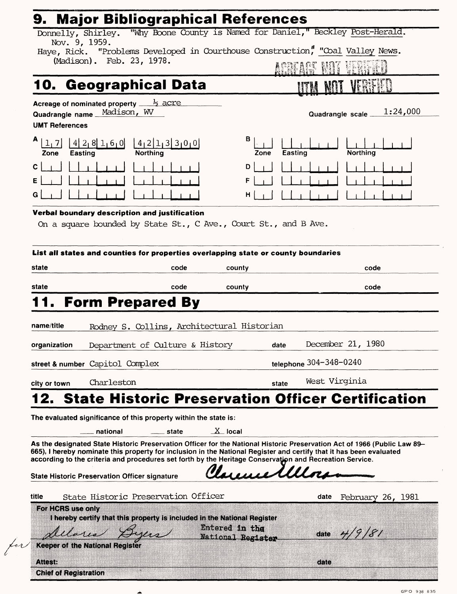| 9.                                                                                                                                                                                                                             |                                 | <b>Major Bibliographical References</b> |                           |          |
|--------------------------------------------------------------------------------------------------------------------------------------------------------------------------------------------------------------------------------|---------------------------------|-----------------------------------------|---------------------------|----------|
| Donnelly, Shirley. "Why Boone County is Named for Daniel," Beckley Post-Herald.<br>Nov. 9, 1959.                                                                                                                               |                                 |                                         |                           |          |
| Haye, Rick. "Problems Developed in Courthouse Construction," "Coal Valley News.                                                                                                                                                |                                 |                                         |                           |          |
| (Madison). Feb. 23, 1978.                                                                                                                                                                                                      |                                 |                                         |                           |          |
| 10. Geographical Data                                                                                                                                                                                                          |                                 |                                         |                           |          |
| Acreage of nominated property $\frac{1}{2}$ acre                                                                                                                                                                               |                                 |                                         |                           |          |
| Madison, WV<br>Quadrangle name.                                                                                                                                                                                                |                                 |                                         | Quadrangle scale _        | 1:24,000 |
| <b>UMT References</b>                                                                                                                                                                                                          |                                 |                                         |                           |          |
| А<br> 4 2 8 1 6 0 <br>$14$ <sub>1</sub> 2 1 3 3 0 0<br>1, 7<br>Northing<br>Easting<br>Zone                                                                                                                                     |                                 | в<br>Easting<br>Zone                    | Northing                  |          |
| C                                                                                                                                                                                                                              |                                 | D                                       |                           |          |
| Е                                                                                                                                                                                                                              |                                 | F                                       |                           |          |
| G                                                                                                                                                                                                                              |                                 | н                                       |                           |          |
| Verbal boundary description and justification                                                                                                                                                                                  |                                 |                                         |                           |          |
| On a square bounded by State St., C Ave., Court St., and B Ave.                                                                                                                                                                |                                 |                                         |                           |          |
|                                                                                                                                                                                                                                |                                 |                                         |                           |          |
| List all states and counties for properties overlapping state or county boundaries                                                                                                                                             |                                 |                                         |                           |          |
| state                                                                                                                                                                                                                          | code                            | county                                  | code                      |          |
|                                                                                                                                                                                                                                |                                 |                                         |                           |          |
| state                                                                                                                                                                                                                          |                                 |                                         |                           |          |
|                                                                                                                                                                                                                                | code                            | county                                  | code                      |          |
| <b>Form Prepared By</b>                                                                                                                                                                                                        |                                 |                                         |                           |          |
|                                                                                                                                                                                                                                |                                 |                                         |                           |          |
| name/title<br>Rodney S. Collins, Architectural Historian                                                                                                                                                                       |                                 |                                         |                           |          |
| Department of Culture & History                                                                                                                                                                                                |                                 | date                                    | December 21, 1980         |          |
| organization<br>street & number Capitol Complex                                                                                                                                                                                |                                 |                                         | telephone 304-348-0240    |          |
| Charleston<br>city or town                                                                                                                                                                                                     |                                 | state                                   | West Virginia             |          |
| <b>State Historic Preservation Officer Certification</b>                                                                                                                                                                       |                                 |                                         |                           |          |
| The evaluated significance of this property within the state is:                                                                                                                                                               |                                 |                                         |                           |          |
| national                                                                                                                                                                                                                       | $X$ local<br><sub>—</sub> state |                                         |                           |          |
| As the designated State Historic Preservation Officer for the National Historic Preservation Act of 1966 (Public Law 89-                                                                                                       |                                 |                                         |                           |          |
| 665), I hereby nominate this property for inclusion in the National Register and certify that it has been evaluated<br>according to the criteria and procedures set forth by the Heritage Conservation and Recreation Service. |                                 |                                         |                           |          |
|                                                                                                                                                                                                                                |                                 |                                         |                           |          |
| <b>State Historic Preservation Officer signature</b>                                                                                                                                                                           |                                 | Tuenelllors                             |                           |          |
| State Historic Preservation Officer<br>title                                                                                                                                                                                   |                                 |                                         | February 26, 1981<br>date |          |
| For HCRS use only                                                                                                                                                                                                              |                                 |                                         |                           |          |
| I hereby certify that this property is included in the National Register                                                                                                                                                       |                                 |                                         |                           |          |
| Delario                                                                                                                                                                                                                        |                                 | Entered in the<br>National Register     | 4/9/81<br>date            |          |
| <b>Keeper of the National Register</b>                                                                                                                                                                                         |                                 |                                         |                           |          |

∸